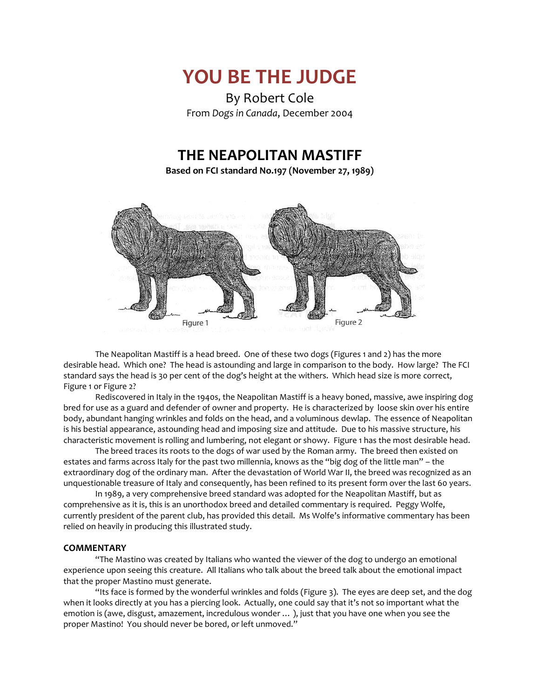

By Robert Cole From *Dogs in Canada*, December 2004

# **THE NEAPOLITAN MASTIFF**

**Based on FCI standard No.197 (November 27, 1989)**



The Neapolitan Mastiff is a head breed. One of these two dogs (Figures 1 and 2) has the more desirable head. Which one? The head is astounding and large in comparison to the body. How large? The FCI standard says the head is 30 per cent of the dog's height at the withers. Which head size is more correct, Figure 1 or Figure 2?

Rediscovered in Italy in the 1940s, the Neapolitan Mastiff is a heavy boned, massive, awe inspiring dog bred for use as a guard and defender of owner and property. He is characterized by loose skin over his entire body, abundant hanging wrinkles and folds on the head, and a voluminous dewlap. The essence of Neapolitan is his bestial appearance, astounding head and imposing size and attitude. Due to his massive structure, his characteristic movement is rolling and lumbering, not elegant or showy. Figure 1 has the most desirable head.

The breed traces its roots to the dogs of war used by the Roman army. The breed then existed on estates and farms across Italy for the past two millennia, knows as the "big dog of the little man" – the extraordinary dog of the ordinary man. After the devastation of World War II, the breed was recognized as an unquestionable treasure of Italy and consequently, has been refined to its present form over the last 60 years.

In 1989, a very comprehensive breed standard was adopted for the Neapolitan Mastiff, but as comprehensive as it is, this is an unorthodox breed and detailed commentary is required. Peggy Wolfe, currently president of the parent club, has provided this detail. Ms Wolfe's informative commentary has been relied on heavily in producing this illustrated study.

# **COMMENTARY**

"The Mastino was created by Italians who wanted the viewer of the dog to undergo an emotional experience upon seeing this creature. All Italians who talk about the breed talk about the emotional impact that the proper Mastino must generate.

"Its face is formed by the wonderful wrinkles and folds (Figure 3). The eyes are deep set, and the dog when it looks directly at you has a piercing look. Actually, one could say that it's not so important what the emotion is (awe, disgust, amazement, incredulous wonder … ), just that you have one when you see the proper Mastino! You should never be bored, or left unmoved."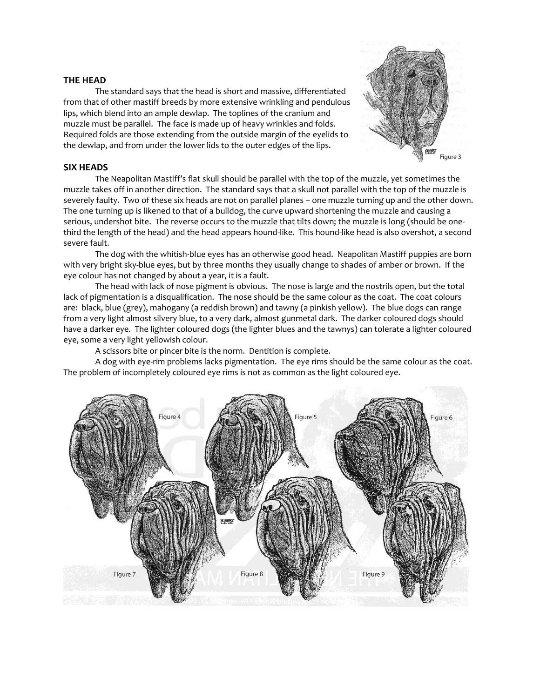# **THE HEAD**

The standard says that the head is short and massive, differentiated from that of other mastiff breeds by more extensive wrinkling and pendulous lips, which blend into an ample dewlap. The toplines of the cranium and muzzle must be parallel. The face is made up of heavy wrinkles and folds. Required folds are those extending from the outside margin of the eyelids to the dewlap, and from under the lower lids to the outer edges of the lips.



# **SIX HEADS**

The Neapolitan Mastiff's flat skull should be parallel with the top of the muzzle, yet sometimes the muzzle takes off in another direction. The standard says that a skull not parallel with the top of the muzzle is severely faulty. Two of these six heads are not on parallel planes – one muzzle turning up and the other down. The one turning up is likened to that of a bulldog, the curve upward shortening the muzzle and causing a serious, undershot bite. The reverse occurs to the muzzle that tilts down; the muzzle is long (should be onethird the length of the head) and the head appears hound-like. This hound-like head is also overshot, a second severe fault.

The dog with the whitish-blue eyes has an otherwise good head. Neapolitan Mastiff puppies are born with very bright sky-blue eyes, but by three months they usually change to shades of amber or brown. If the eye colour has not changed by about a year, it is a fault.

The head with lack of nose pigment is obvious. The nose is large and the nostrils open, but the total lack of pigmentation is a disqualification. The nose should be the same colour as the coat. The coat colours are: black, blue (grey), mahogany (a reddish brown) and tawny (a pinkish yellow). The blue dogs can range from a very light almost silvery blue, to a very dark, almost gunmetal dark. The darker coloured dogs should have a darker eye. The lighter coloured dogs (the lighter blues and the tawnys) can tolerate a lighter coloured eye, some a very light yellowish colour.

A scissors bite or pincer bite is the norm. Dentition is complete.

A dog with eye-rim problems lacks pigmentation. The eye rims should be the same colour as the coat. The problem of incompletely coloured eye rims is not as common as the light coloured eye.

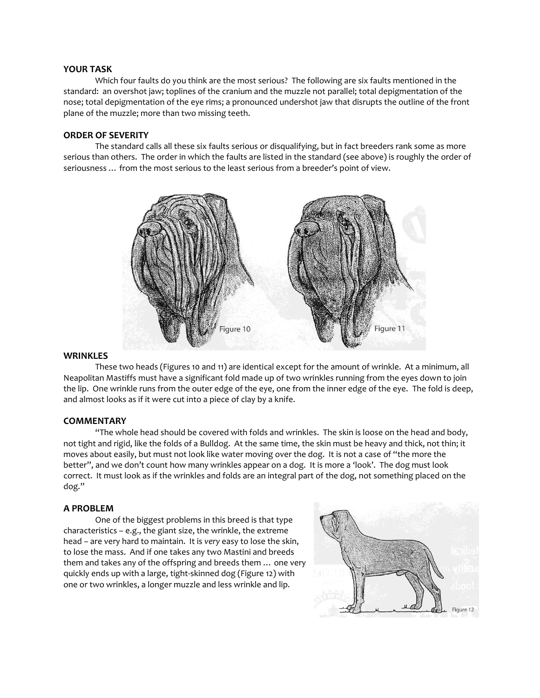#### **YOUR TASK**

Which four faults do you think are the most serious? The following are six faults mentioned in the standard: an overshot jaw; toplines of the cranium and the muzzle not parallel; total depigmentation of the nose; total depigmentation of the eye rims; a pronounced undershot jaw that disrupts the outline of the front plane of the muzzle; more than two missing teeth.

#### **ORDER OF SEVERITY**

The standard calls all these six faults serious or disqualifying, but in fact breeders rank some as more serious than others. The order in which the faults are listed in the standard (see above) is roughly the order of seriousness … from the most serious to the least serious from a breeder's point of view.



#### **WRINKLES**

These two heads (Figures 10 and 11) are identical except for the amount of wrinkle. At a minimum, all Neapolitan Mastiffs must have a significant fold made up of two wrinkles running from the eyes down to join the lip. One wrinkle runs from the outer edge of the eye, one from the inner edge of the eye. The fold is deep, and almost looks as if it were cut into a piece of clay by a knife.

## **COMMENTARY**

"The whole head should be covered with folds and wrinkles. The skin is loose on the head and body, not tight and rigid, like the folds of a Bulldog. At the same time, the skin must be heavy and thick, not thin; it moves about easily, but must not look like water moving over the dog. It is not a case of "the more the better", and we don't count how many wrinkles appear on a dog. It is more a 'look'. The dog must look correct. It must look as if the wrinkles and folds are an integral part of the dog, not something placed on the dog."

# **A PROBLEM**

One of the biggest problems in this breed is that type characteristics – e.g., the giant size, the wrinkle, the extreme head – are very hard to maintain. It is *very* easy to lose the skin, to lose the mass. And if one takes any two Mastini and breeds them and takes any of the offspring and breeds them … one very quickly ends up with a large, tight-skinned dog (Figure 12) with one or two wrinkles, a longer muzzle and less wrinkle and lip.